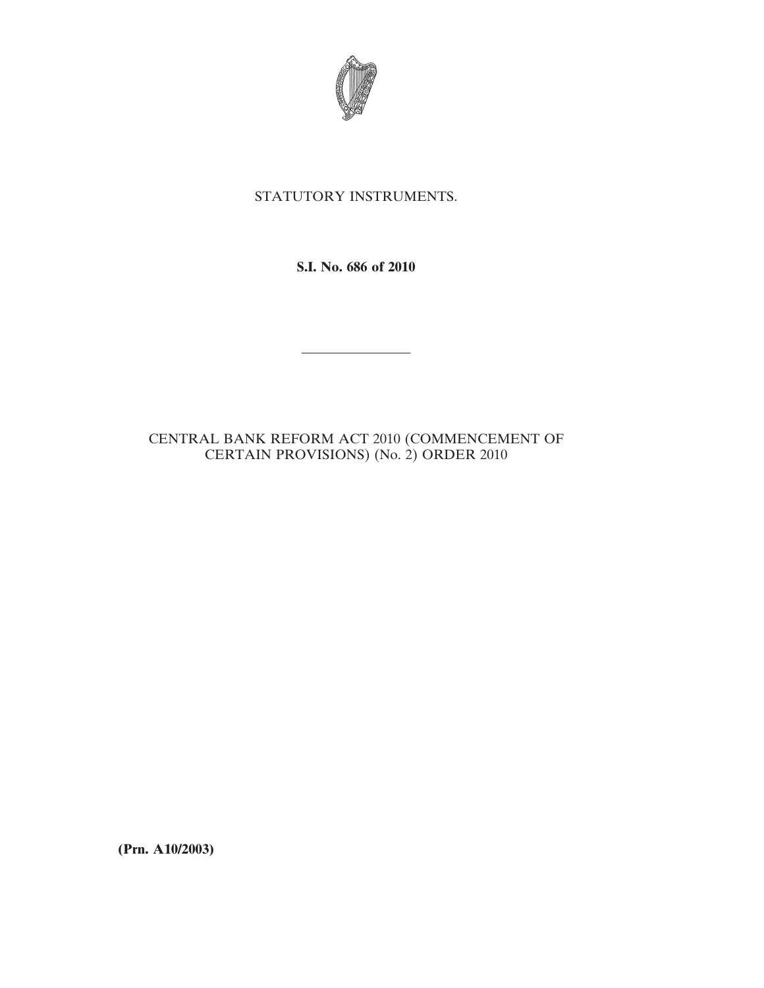

## STATUTORY INSTRUMENTS.

**S.I. No. 686 of 2010**

————————

## CENTRAL BANK REFORM ACT 2010 (COMMENCEMENT OF CERTAIN PROVISIONS) (No. 2) ORDER 2010

**(Prn. A10/2003)**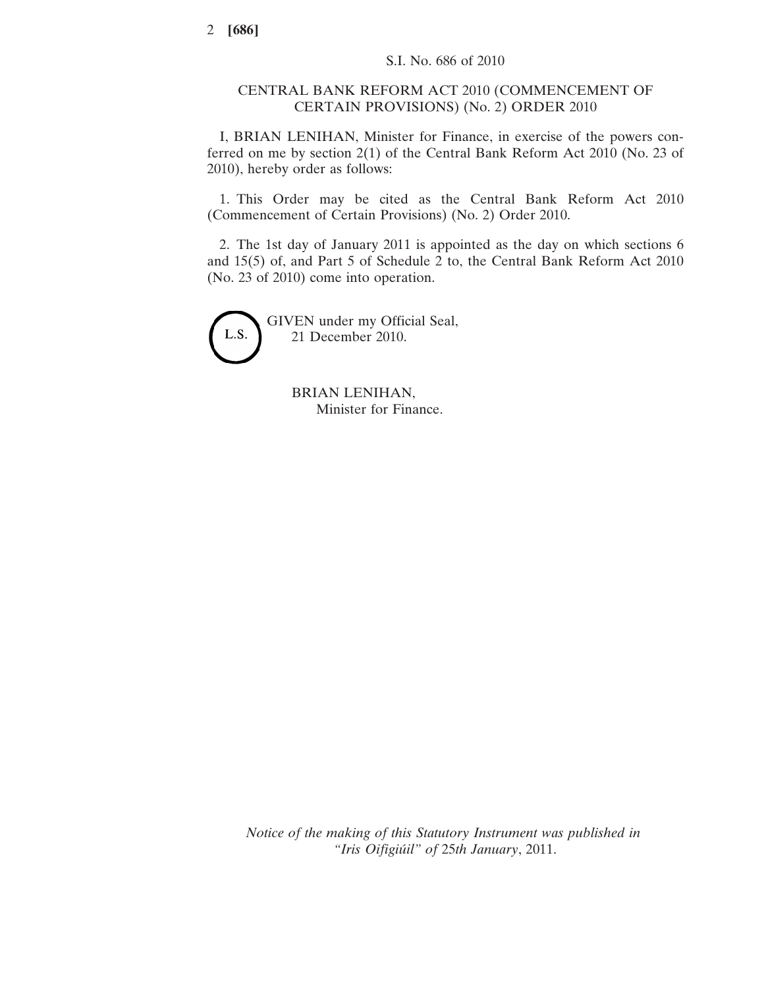## CENTRAL BANK REFORM ACT 2010 (COMMENCEMENT OF CERTAIN PROVISIONS) (No. 2) ORDER 2010

I, BRIAN LENIHAN, Minister for Finance, in exercise of the powers conferred on me by section 2(1) of the Central Bank Reform Act 2010 (No. 23 of 2010), hereby order as follows:

1. This Order may be cited as the Central Bank Reform Act 2010 (Commencement of Certain Provisions) (No. 2) Order 2010.

2. The 1st day of January 2011 is appointed as the day on which sections 6 and 15(5) of, and Part 5 of Schedule 2 to, the Central Bank Reform Act 2010 (No. 23 of 2010) come into operation.



GIVEN under my Official Seal, 21 December 2010.

> BRIAN LENIHAN, Minister for Finance.

*Notice of the making of this Statutory Instrument was published in "Iris Oifigiúil" of* 25*th January*, 2011.